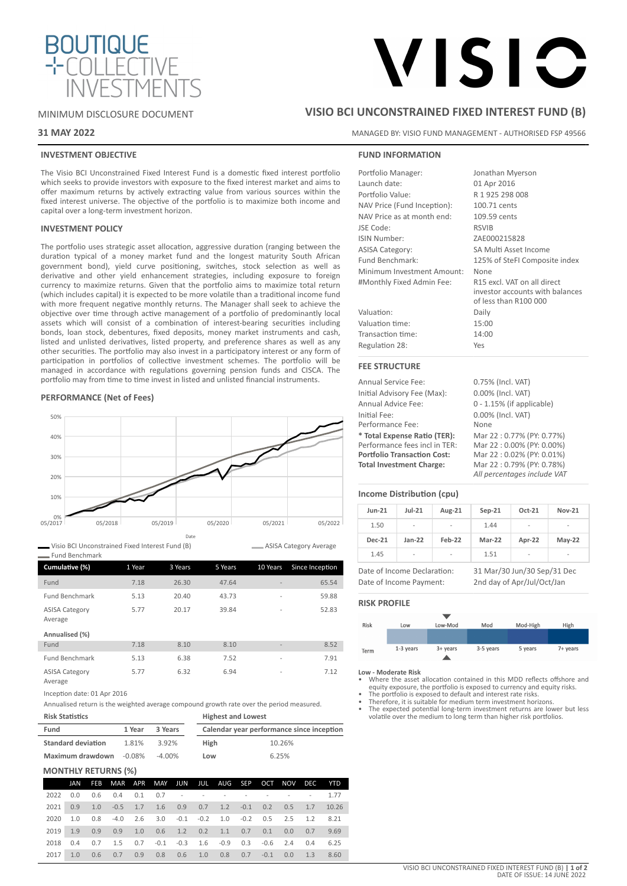

# VISIC

MINIMUM DISCLOSURE DOCUMENT

## **31 MAY 2022**

## **INVESTMENT OBJECTIVE**

The Visio BCI Unconstrained Fixed Interest Fund is a domestic fixed interest portfolio which seeks to provide investors with exposure to the fixed interest market and aims to offer maximum returns by actively extracting value from various sources within the fixed interest universe. The objective of the portfolio is to maximize both income and capital over a long-term investment horizon.

## **INVESTMENT POLICY**

The portfolio uses strategic asset allocation, aggressive duration (ranging between the duration typical of a money market fund and the longest maturity South African government bond), yield curve positioning, switches, stock selection as well as derivative and other yield enhancement strategies, including exposure to foreign currency to maximize returns. Given that the portfolio aims to maximize total return (which includes capital) it is expected to be more volatile than a traditional income fund with more frequent negative monthly returns. The Manager shall seek to achieve the objective over time through active management of a portfolio of predominantly local assets which will consist of a combination of interest-bearing securities including bonds, loan stock, debentures, fixed deposits, money market instruments and cash, listed and unlisted derivatives, listed property, and preference shares as well as any other securities. The portfolio may also invest in a participatory interest or any form of participation in portfolios of collective investment schemes. The portfolio will be managed in accordance with regulations governing pension funds and CISCA. The portfolio may from time to time invest in listed and unlisted financial instruments.

## **PERFORMANCE (Net of Fees)**



Visio BCI Unconstrained Fixed Interest Fund (B) Fund Benchmark

| Cumulative (%)                   | 1 Year | 3 Years | 5 Years | 10 Years                 | Since Inception |
|----------------------------------|--------|---------|---------|--------------------------|-----------------|
| Fund                             | 7.18   | 26.30   | 47.64   | $\overline{\phantom{a}}$ | 65.54           |
| <b>Fund Benchmark</b>            | 5.13   | 20.40   | 43.73   | $\overline{a}$           | 59.88           |
| <b>ASISA Category</b><br>Average | 5.77   | 20.17   | 39.84   | $\overline{a}$           | 52.83           |
| Annualised (%)                   |        |         |         |                          |                 |
| Fund                             | 7.18   | 8.10    | 8.10    | $\overline{\phantom{a}}$ | 8.52            |
| <b>Fund Benchmark</b>            | 5.13   | 6.38    | 7.52    | $\overline{a}$           | 7.91            |
| <b>ASISA Category</b>            | 5.77   | 6.32    | 6.94    | $\overline{\phantom{a}}$ | 7.12            |

Average

Inception date: 01 Apr 2016

Annualised return is the weighted average compound growth rate over the period measured. **Risk Statistics Highest and Lowest**

| Fund                      | 1 Year | 3 Years |             | Calendar year performance since inception |
|---------------------------|--------|---------|-------------|-------------------------------------------|
| <b>Standard deviation</b> | 1.81%  | 3.92%   | <b>High</b> | 10.26%                                    |
| Maximum drawdown -0.08%   |        | -4.00%  | Low         | 6.25%                                     |

## **MONTHLY RETURNS (%)**

|          | JAN | <b>FEB</b> |                                                                           | MAR APR MAY JUN JUL AUG SEP OCT NOV DEC YTD |  |  |  |  |
|----------|-----|------------|---------------------------------------------------------------------------|---------------------------------------------|--|--|--|--|
| 2022 0.0 |     |            | 0.6 0.4 0.1 0.7 - - - - - - - - 1.77                                      |                                             |  |  |  |  |
|          |     |            | 2021  0.9  1.0  -0.5  1.7  1.6  0.9  0.7  1.2  -0.1  0.2  0.5  1.7  10.26 |                                             |  |  |  |  |
|          |     |            | 2020 1.0 0.8 -4.0 2.6 3.0 -0.1 -0.2 1.0 -0.2 0.5 2.5 1.2 8.21             |                                             |  |  |  |  |
|          |     |            | 2019 1.9 0.9 0.9 1.0 0.6 1.2 0.2 1.1 0.7 0.1 0.0 0.7 9.69                 |                                             |  |  |  |  |
|          |     |            | 2018 0.4 0.7 1.5 0.7 -0.1 -0.3 1.6 -0.9 0.3 -0.6 2.4 0.4 6.25             |                                             |  |  |  |  |
| 2017     | 1.0 |            | $0.6$ $0.7$ $0.9$ $0.8$ $0.6$ $1.0$ $0.8$ $0.7$ $-0.1$ $0.0$ $1.3$ $8.60$ |                                             |  |  |  |  |

## **VISIO BCI UNCONSTRAINED FIXED INTEREST FUND (B)**

MANAGED BY: VISIO FUND MANAGEMENT - AUTHORISED FSP 49566

## **FUND INFORMATION**

| Jonathan Myerson                                                                        |
|-----------------------------------------------------------------------------------------|
| 01 Apr 2016                                                                             |
| R 1 925 298 008                                                                         |
| 100.71 cents                                                                            |
| 109.59 cents                                                                            |
| <b>RSVIB</b>                                                                            |
| ZAE000215828                                                                            |
| SA Multi Asset Income                                                                   |
| 125% of SteFI Composite index                                                           |
| None                                                                                    |
| R15 excl. VAT on all direct<br>investor accounts with balances<br>of less than R100 000 |
| Daily                                                                                   |
| 15:00                                                                                   |
| 14:00                                                                                   |
| Yes                                                                                     |
|                                                                                         |

## **FEE STRUCTURE**

Annual Service Fee: 0.75% (Incl. VAT) Initial Advisory Fee (Max): 0.00% (Incl. VAT) Annual Advice Fee: 0 - 1.15% (if applicable) Initial Fee: 0.00% (Incl. VAT) Performance Fee: None **\* Total Expense Ratio (TER):** Mar 22 : 0.77% (PY: 0.77%) Performance fees incl in TER:<br>Portfolio Transaction Cost: **Portfolio Transaction Cost:** Mar 22 : 0.02% (PY: 0.01%)<br>**Total Investment Charge:** Mar 22 : 0.79% (PY: 0.78%)

**Total Investment Charge:** Mar 22 : 0.79% (PY: 0.78%) *All percentages include VAT*

## **Income Distribution (cpu)**

| $Jun-21$      | $Jul-21$                 | Aug-21                   | $Sep-21$ | Oct-21 | <b>Nov-21</b> |
|---------------|--------------------------|--------------------------|----------|--------|---------------|
| 1.50          | $\overline{\phantom{a}}$ | $\overline{\phantom{a}}$ | 1.44     | ۰      | -             |
| <b>Dec-21</b> | $Jan-22$                 | Feb-22                   | Mar-22   | Apr-22 | $May-22$      |
| 1.45          | -                        | -                        | 1.51     | ٠      | ٠             |

Date of Income Payment: 2nd day of Apr/Jul/Oct/Jan

Date of Income Declaration: 31 Mar/30 Jun/30 Sep/31 Dec

## **RISK PROFILE**

ASISA Category Average



**Low - Moderate Risk**

- Where the asset allocation contained in this MDD reflects offshore and equity exposure, the portfolio is exposed to currency and equity risks. • The portfolio is exposed to default and interest rate risks.
- 
- Therefore, it is suitable for medium term investment horizons. The expected potential long-term investment returns are lower but less volatile over the medium to long term than higher risk portfolios.